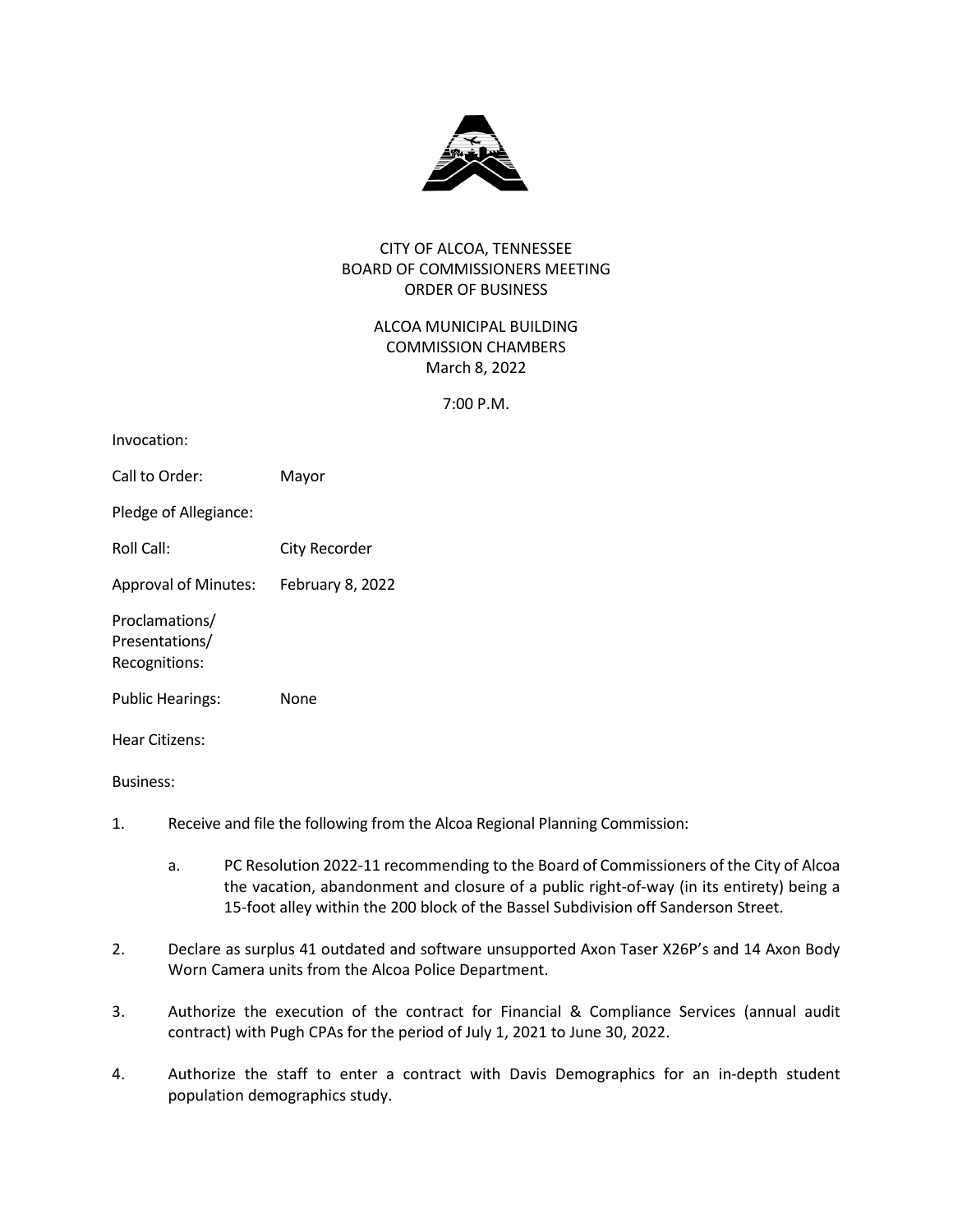

# CITY OF ALCOA, TENNESSEE BOARD OF COMMISSIONERS MEETING ORDER OF BUSINESS

# ALCOA MUNICIPAL BUILDING COMMISSION CHAMBERS March 8, 2022

7:00 P.M.

| Invocation:                                       |                  |
|---------------------------------------------------|------------------|
| Call to Order:                                    | Mayor            |
| Pledge of Allegiance:                             |                  |
| Roll Call:                                        | City Recorder    |
| <b>Approval of Minutes:</b>                       | February 8, 2022 |
| Proclamations/<br>Presentations/<br>Recognitions: |                  |
| <b>Public Hearings:</b>                           | None             |
| Hear Citizens:                                    |                  |
| <b>Business:</b>                                  |                  |

- 1. Receive and file the following from the Alcoa Regional Planning Commission:
	- a. PC Resolution 2022-11 recommending to the Board of Commissioners of the City of Alcoa the vacation, abandonment and closure of a public right-of-way (in its entirety) being a 15-foot alley within the 200 block of the Bassel Subdivision off Sanderson Street.
- 2. Declare as surplus 41 outdated and software unsupported Axon Taser X26P's and 14 Axon Body Worn Camera units from the Alcoa Police Department.
- 3. Authorize the execution of the contract for Financial & Compliance Services (annual audit contract) with Pugh CPAs for the period of July 1, 2021 to June 30, 2022.
- 4. Authorize the staff to enter a contract with Davis Demographics for an in-depth student population demographics study.